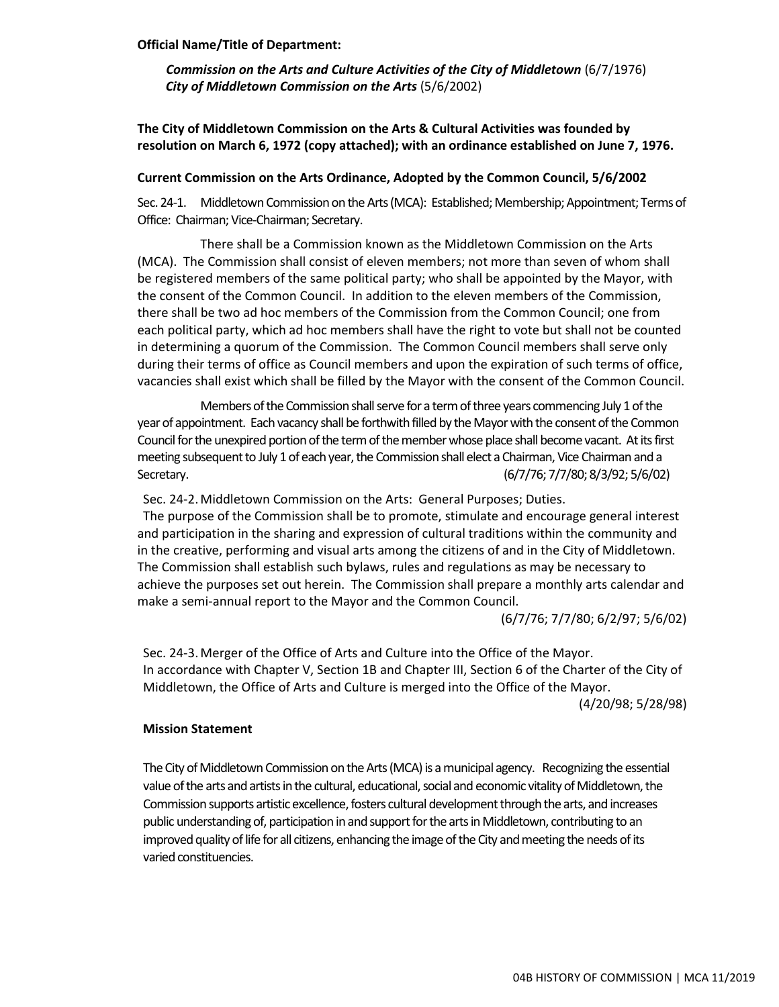### **Official Name/Title of Department:**

*Commission on the Arts and Culture Activities of the City of Middletown* (6/7/1976) *City of Middletown Commission on the Arts* (5/6/2002)

**The City of Middletown Commission on the Arts & Cultural Activities was founded by resolution on March 6, 1972 (copy attached); with an ordinance established on June 7, 1976.**

### **Current Commission on the Arts Ordinance, Adopted by the Common Council, 5/6/2002**

Sec. 24-1. Middletown Commission on the Arts (MCA): Established; Membership; Appointment; Terms of Office: Chairman; Vice-Chairman; Secretary.

There shall be a Commission known as the Middletown Commission on the Arts (MCA). The Commission shall consist of eleven members; not more than seven of whom shall be registered members of the same political party; who shall be appointed by the Mayor, with the consent of the Common Council. In addition to the eleven members of the Commission, there shall be two ad hoc members of the Commission from the Common Council; one from each political party, which ad hoc members shall have the right to vote but shall not be counted in determining a quorum of the Commission. The Common Council members shall serve only during their terms of office as Council members and upon the expiration of such terms of office, vacancies shall exist which shall be filled by the Mayor with the consent of the Common Council.

Members of the Commission shall serve for a term of three years commencing July 1 of the year of appointment. Each vacancy shall be forthwith filled by the Mayor with the consent of the Common Council for the unexpired portion of the term of the member whose place shall become vacant. At its first meeting subsequent to July 1 of each year, the Commission shall elect a Chairman, Vice Chairman and a Secretary. (6/7/76; 7/7/80; 8/3/92; 5/6/02)

Sec. 24-2.Middletown Commission on the Arts: General Purposes; Duties.

The purpose of the Commission shall be to promote, stimulate and encourage general interest and participation in the sharing and expression of cultural traditions within the community and in the creative, performing and visual arts among the citizens of and in the City of Middletown. The Commission shall establish such bylaws, rules and regulations as may be necessary to achieve the purposes set out herein. The Commission shall prepare a monthly arts calendar and make a semi-annual report to the Mayor and the Common Council.

(6/7/76; 7/7/80; 6/2/97; 5/6/02)

Sec. 24-3.Merger of the Office of Arts and Culture into the Office of the Mayor. In accordance with Chapter V, Section 1B and Chapter III, Section 6 of the Charter of the City of Middletown, the Office of Arts and Culture is merged into the Office of the Mayor.

(4/20/98; 5/28/98)

# **Mission Statement**

The City of Middletown Commission on the Arts (MCA) is a municipal agency. Recognizing the essential value of the arts and artists in the cultural, educational, social and economic vitality of Middletown, the Commission supports artistic excellence, fosters cultural development through the arts, and increases public understanding of, participation in and support for the arts in Middletown, contributing to an improved quality of life for all citizens, enhancing the image of the City and meeting the needs of its varied constituencies.